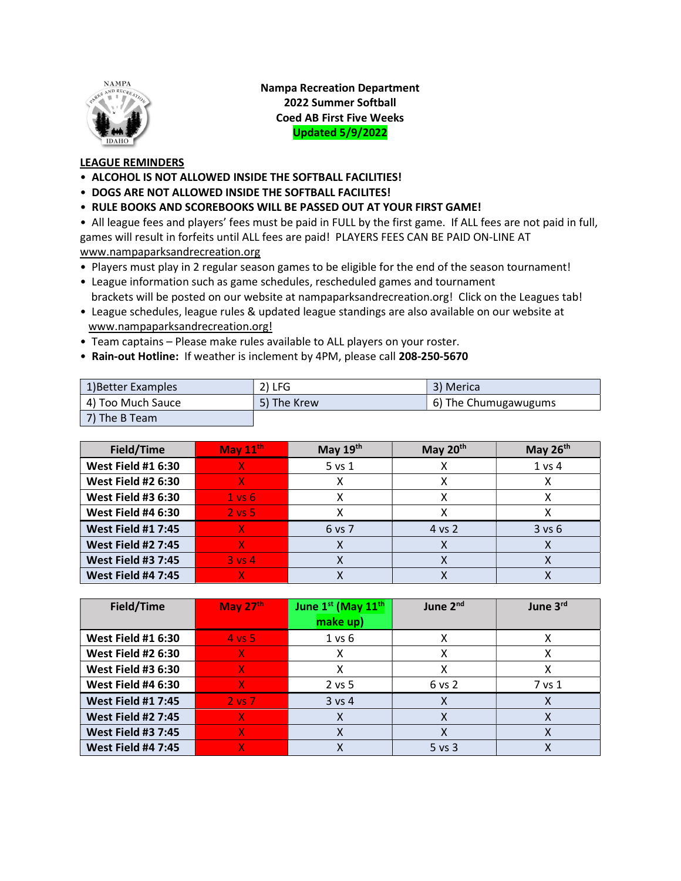

Nampa Recreation Department 2022 Summer Softball Coed AB First Five Weeks Updated 5/9/2022

## LEAGUE REMINDERS

- ALCOHOL IS NOT ALLOWED INSIDE THE SOFTBALL FACILITIES!
- DOGS ARE NOT ALLOWED INSIDE THE SOFTBALL FACILITES!
- RULE BOOKS AND SCOREBOOKS WILL BE PASSED OUT AT YOUR FIRST GAME!

• All league fees and players' fees must be paid in FULL by the first game. If ALL fees are not paid in full, games will result in forfeits until ALL fees are paid! PLAYERS FEES CAN BE PAID ON-LINE AT www.nampaparksandrecreation.org

- Players must play in 2 regular season games to be eligible for the end of the season tournament!
- League information such as game schedules, rescheduled games and tournament brackets will be posted on our website at nampaparksandrecreation.org! Click on the Leagues tab!
- League schedules, league rules & updated league standings are also available on our website at www.nampaparksandrecreation.org!
- Team captains Please make rules available to ALL players on your roster.
- Rain-out Hotline: If weather is inclement by 4PM, please call 208-250-5670

| 1) Better Examples | $2)$ LFG    | 3) Merica            |
|--------------------|-------------|----------------------|
| 4) Too Much Sauce  | 5) The Krew | 6) The Chumugawugums |
| 7) The B Team      |             |                      |

| Field/Time                | May $11^{\text{th}}$ | May $19th$ | May $20th$ | May $26th$ |
|---------------------------|----------------------|------------|------------|------------|
| <b>West Field #1 6:30</b> |                      | 5 vs 1     |            | 1 vs 4     |
| <b>West Field #2 6:30</b> | X.                   |            | χ          |            |
| <b>West Field #3 6:30</b> | $1$ vs $6$           |            | χ          |            |
| <b>West Field #4 6:30</b> | $2 \text{ vs } 5$    |            |            |            |
| <b>West Field #1 7:45</b> |                      | 6 vs 7     | 4 vs 2     | $3$ vs $6$ |
| <b>West Field #2 7:45</b> |                      |            |            |            |
| <b>West Field #3 7:45</b> | $3 \text{ vs } 4$    |            |            |            |
| <b>West Field #4 7:45</b> |                      |            |            |            |

| Field/Time                | May $27th$        | June 1st (May 11 <sup>th</sup> | June 2 <sup>nd</sup> | June 3rd |
|---------------------------|-------------------|--------------------------------|----------------------|----------|
|                           |                   | make up)                       |                      |          |
| <b>West Field #1 6:30</b> | $4 \text{ vs } 5$ | $1$ vs $6$                     |                      |          |
| <b>West Field #2 6:30</b> | X.                |                                | х                    |          |
| <b>West Field #3 6:30</b> | x                 |                                |                      |          |
| <b>West Field #4 6:30</b> | x                 | $2$ vs 5                       | 6 vs 2               | 7 vs 1   |
| <b>West Field #1 7:45</b> | $2$ vs $7$        | $3$ vs 4                       | x                    | х        |
| <b>West Field #2 7:45</b> | X                 |                                |                      |          |
| <b>West Field #3 7:45</b> | x                 |                                | х                    |          |
| <b>West Field #4 7:45</b> |                   |                                | $5$ vs $3$           |          |